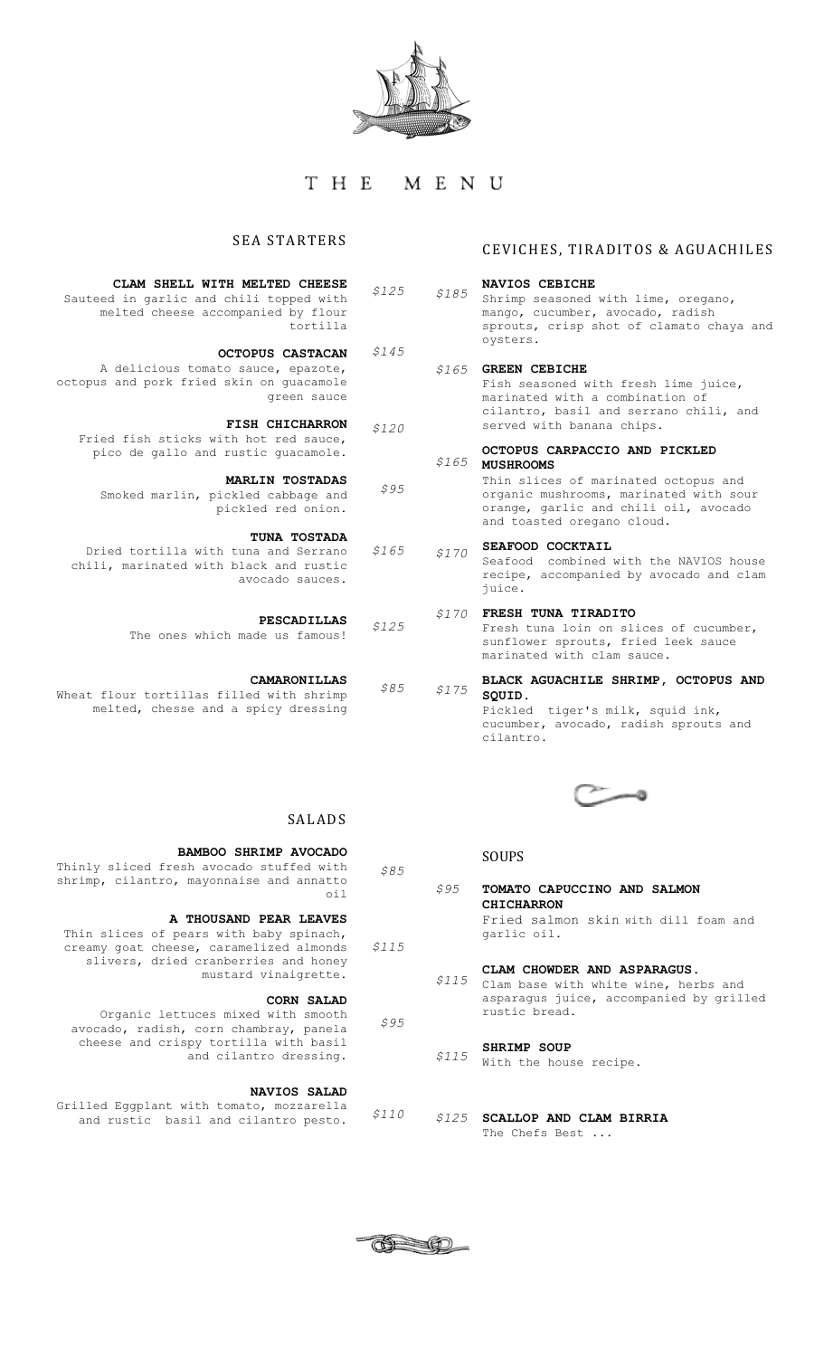

# THE MENU

*\$145*

*\$95*

*\$165*

*\$85*

*\$85*

# **SEA STARTERS**

| CLAM SHELL WITH MELTED CHEESE           | \$125 |
|-----------------------------------------|-------|
| Sauteed in garlic and chili topped with |       |
| melted cheese accompanied by flour      |       |
| tortilla                                |       |

**OCTOPUS CASTACAN** A delicious tomato sauce, epazote, octopus and pork fried skin on guacamole green sauce

**FISH CHICHARRON** Fried fish sticks with hot red sauce, pico de gallo and rustic guacamole. *\$120*

**MARLIN TOSTADAS** Smoked marlin, pickled cabbage and

**TUNA TOSTADA**  Dried tortilla with tuna and Serrano chili, marinated with black and rustic avocado sauces.

> **PESCADILLAS** *\$125*

The ones which made us famous!

pickled red onion.

**CAMARONILLAS** Wheat flour tortillas filled with shrimp melted, chesse and a spicy dressing

# CEVICHES, TIRADITOS & AGUACHILES

### **NAVIOS CEBICHE** Shrimp seasoned with lime, oregano, mango, cucumber, avocado, radish sprouts, crisp shot of clamato chaya and oysters. **GREEN CEBICHE** *\$165* Fish seasoned with fresh lime juice, marinated with a combination of cilantro, basil and serrano chili, and served with banana chips. **OCTOPUS CARPACCIO AND PICKLED MUSHROOMS** Thin slices of marinated octopus and organic mushrooms, marinated with sour orange, garlic and chili oil, avocado and toasted oregano cloud. **SEAFOOD COCKTAIL** *\$185 \$165 \$170*

Seafood combined with the NAVIOS house recipe, accompanied by avocado and clam juice.

# **FRESH TUNA TIRADITO** *\$170*

Fresh tuna loin on slices of cucumber, sunflower sprouts, fried leek sauce marinated with clam sauce.

**BLACK AGUACHILE SHRIMP, OCTOPUS AND SQUID.** Pickled tiger's milk, squid ink, cucumber, avocado, radish sprouts and cilantro. *\$175*



# SOUPS

**TOMATO CAPUCCINO AND SALMON CHICHARRON**  Fried salmon skin with dill foam and garlic oil. *\$95*

# **CLAM CHOWDER AND ASPARAGUS.**

Clam base with white wine, herbs and *\$115* asparagus juice, accompanied by grilled rustic bread.

#### **SHRIMP SOUP** *\$115*

With the house recipe.

**SCALLOP AND CLAM BIRRIA** *\$125*The Chefs Best ...

# SALADS **BAMBOO SHRIMP AVOCADO**

Thinly sliced fresh avocado stuffed with shrimp, cilantro, mayonnaise and annatto oil

# **A THOUSAND PEAR LEAVES**

Thin slices of pears with baby spinach, creamy goat cheese, caramelized almonds slivers, dried cranberries and honey mustard vinaigrette. *\$115*

# **CORN SALAD**

Organic lettuces mixed with smooth avocado, radish, corn chambray, panela cheese and crispy tortilla with basil and cilantro dressing. *\$95*

# **NAVIOS SALAD**

Grilled Eggplant with tomato, mozzarella and rustic basil and cilantro pesto. *\$110*